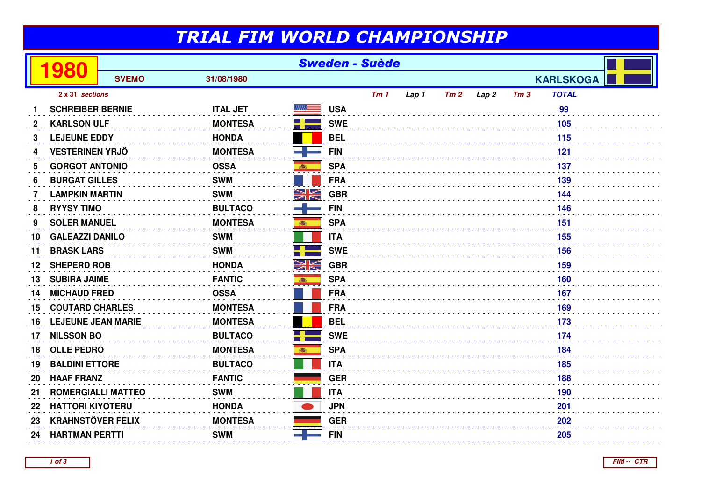## TRIAL FIM WORLD CHAMPIONSHIP

|              | 980                       | <b>Sweden - Suède</b> |                 |          |            |     |       |     |      |     |                  |  |  |
|--------------|---------------------------|-----------------------|-----------------|----------|------------|-----|-------|-----|------|-----|------------------|--|--|
|              |                           | <b>SVEMO</b>          | 31/08/1980      |          |            |     |       |     |      |     | <b>KARLSKOGA</b> |  |  |
|              | 2 x 31 sections           |                       |                 |          |            | Tm1 | Lap 1 | Tm2 | Lap2 | Tm3 | <b>TOTAL</b>     |  |  |
|              | <b>SCHREIBER BERNIE</b>   |                       | <b>ITAL JET</b> |          | <b>USA</b> |     |       |     |      |     | 99               |  |  |
| $\mathbf{2}$ | <b>KARLSON ULF</b>        |                       | <b>MONTESA</b>  |          | <b>SWE</b> |     |       |     |      |     | 105              |  |  |
| 3            | <b>LEJEUNE EDDY</b>       |                       | <b>HONDA</b>    |          | <b>BEL</b> |     |       |     |      |     | 115              |  |  |
| 4            | <b>VESTERINEN YRJÖ</b>    |                       | <b>MONTESA</b>  |          | <b>FIN</b> |     |       |     |      |     | 121              |  |  |
| 5            | <b>GORGOT ANTONIO</b>     |                       | <b>OSSA</b>     | 藤        | <b>SPA</b> |     |       |     |      |     | 137              |  |  |
| 6            | <b>BURGAT GILLES</b>      |                       | <b>SWM</b>      |          | <b>FRA</b> |     |       |     |      |     | 139              |  |  |
| 7            | <b>LAMPKIN MARTIN</b>     |                       | <b>SWM</b>      | NK       | <b>GBR</b> |     |       |     |      |     | 144              |  |  |
| 8            | <b>RYYSY TIMO</b>         |                       | <b>BULTACO</b>  |          | <b>FIN</b> |     |       |     |      |     |                  |  |  |
| 9            | <b>SOLER MANUEL</b>       |                       | <b>MONTESA</b>  |          | <b>SPA</b> |     |       |     | 151  |     |                  |  |  |
| 10           | <b>GALEAZZI DANILO</b>    |                       | <b>SWM</b>      |          | <b>ITA</b> |     |       | 155 |      |     |                  |  |  |
| 11           | <b>BRASK LARS</b>         |                       | <b>SWM</b>      |          | <b>SWE</b> |     |       |     |      |     | 156              |  |  |
| 12           | <b>SHEPERD ROB</b>        |                       | <b>HONDA</b>    | NK<br>ZK | <b>GBR</b> |     |       |     |      |     | 159              |  |  |
| 13           | <b>SUBIRA JAIME</b>       |                       | <b>FANTIC</b>   | 高        | <b>SPA</b> |     |       |     |      |     | 160              |  |  |
| 14           | <b>MICHAUD FRED</b>       |                       | <b>OSSA</b>     |          | <b>FRA</b> |     |       |     |      |     | 167              |  |  |
| 15           | <b>COUTARD CHARLES</b>    |                       | <b>MONTESA</b>  |          | <b>FRA</b> |     |       |     |      |     | 169              |  |  |
| 16           | <b>LEJEUNE JEAN MARIE</b> |                       | <b>MONTESA</b>  |          | <b>BEL</b> |     |       |     |      |     | 173              |  |  |
| 17           | <b>NILSSON BO</b>         |                       | <b>BULTACO</b>  |          | <b>SWE</b> |     |       |     |      |     | 174              |  |  |
| 18           | <b>OLLE PEDRO</b>         |                       | <b>MONTESA</b>  | ●        | <b>SPA</b> |     |       |     |      |     | 184              |  |  |
| 19           | <b>BALDINI ETTORE</b>     |                       | <b>BULTACO</b>  |          | <b>ITA</b> | 185 |       |     |      |     |                  |  |  |
| 20           | <b>HAAF FRANZ</b>         |                       | <b>FANTIC</b>   |          | <b>GER</b> |     |       |     |      |     | 188              |  |  |
| 21           | <b>ROMERGIALLI MATTEO</b> |                       | <b>SWM</b>      |          | <b>ITA</b> |     |       |     |      | 190 |                  |  |  |
| 22           | <b>HATTORI KIYOTERU</b>   |                       | <b>HONDA</b>    |          | <b>JPN</b> |     |       |     |      |     | 201              |  |  |
| 23           | <b>KRAHNSTÖVER FELIX</b>  |                       | <b>MONTESA</b>  |          | <b>GER</b> |     |       |     |      |     | 202              |  |  |
| 24           | <b>HARTMAN PERTTI</b>     |                       | <b>SWM</b>      |          | <b>FIN</b> |     |       |     |      |     | 205              |  |  |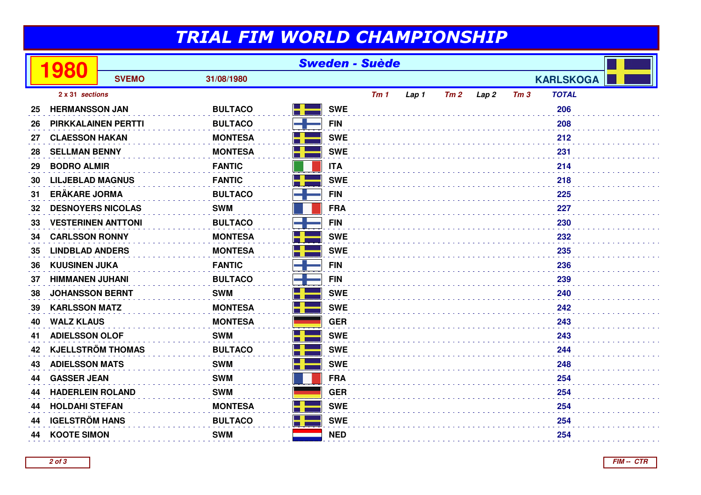## TRIAL FIM WORLD CHAMPIONSHIP

| <b>SVEMO</b><br>31/08/1980<br><b>KARLSKOGA</b><br>2 x 31 sections<br>Tm <sub>1</sub><br>Tm2<br><b>TOTAL</b><br>Lap <sub>2</sub><br>Tm3<br>Lap 1<br>206<br><b>SWE</b><br><b>HERMANSSON JAN</b><br><b>BULTACO</b><br>25<br>208<br><b>BULTACO</b><br><b>FIN</b><br><b>PIRKKALAINEN PERTTI</b><br>26<br><b>SWE</b><br><b>CLAESSON HAKAN</b><br><b>MONTESA</b><br>212<br>27<br><b>SELLMAN BENNY</b><br><b>MONTESA</b><br><b>SWE</b><br>231<br>28<br><b>FANTIC</b><br><b>BODRO ALMIR</b><br><b>ITA</b><br>214<br>29<br>۳<br><b>LILJEBLAD MAGNUS</b><br><b>FANTIC</b><br><b>SWE</b><br>218<br>30<br><b>ERÄKARE JORMA</b><br><b>FIN</b><br><b>BULTACO</b><br>225<br>31<br><b>SWM</b><br><b>FRA</b><br>227<br><b>DESNOYERS NICOLAS</b><br>32<br><b>BULTACO</b><br><b>FIN</b><br>230<br><b>VESTERINEN ANTTONI</b><br>33<br><b>SWE</b><br><b>CARLSSON RONNY</b><br><b>MONTESA</b><br>232<br>34<br><b>SWE</b><br><b>MONTESA</b><br><b>LINDBLAD ANDERS</b><br>235<br>35<br><b>FIN</b><br><b>KUUSINEN JUKA</b><br><b>FANTIC</b><br>236<br>36<br><b>HIMMANEN JUHANI</b><br><b>BULTACO</b><br><b>FIN</b><br>239<br>37<br><b>SWE</b><br><b>JOHANSSON BERNT</b><br><b>SWM</b><br>240<br>38<br><b>KARLSSON MATZ</b><br><b>MONTESA</b><br><b>SWE</b><br>242<br>39<br><b>MONTESA</b><br><b>WALZ KLAUS</b><br><b>GER</b><br>243<br>40<br>$\Box$<br><b>ADIELSSON OLOF</b><br><b>SWM</b><br><b>SWE</b><br>243<br>41<br><b>KJELLSTRÖM THOMAS</b><br><b>BULTACO</b><br><b>SWE</b><br>244<br>42<br>H<br><b>ADIELSSON MATS</b><br><b>SWM</b><br><b>SWE</b><br>248<br>43 |    | 980                | <b>Sweden - Suède</b> |            |            |  |  |  |  |  |     |  |
|---------------------------------------------------------------------------------------------------------------------------------------------------------------------------------------------------------------------------------------------------------------------------------------------------------------------------------------------------------------------------------------------------------------------------------------------------------------------------------------------------------------------------------------------------------------------------------------------------------------------------------------------------------------------------------------------------------------------------------------------------------------------------------------------------------------------------------------------------------------------------------------------------------------------------------------------------------------------------------------------------------------------------------------------------------------------------------------------------------------------------------------------------------------------------------------------------------------------------------------------------------------------------------------------------------------------------------------------------------------------------------------------------------------------------------------------------------------------------------------------------------------------------------------------|----|--------------------|-----------------------|------------|------------|--|--|--|--|--|-----|--|
|                                                                                                                                                                                                                                                                                                                                                                                                                                                                                                                                                                                                                                                                                                                                                                                                                                                                                                                                                                                                                                                                                                                                                                                                                                                                                                                                                                                                                                                                                                                                             |    |                    |                       |            |            |  |  |  |  |  |     |  |
|                                                                                                                                                                                                                                                                                                                                                                                                                                                                                                                                                                                                                                                                                                                                                                                                                                                                                                                                                                                                                                                                                                                                                                                                                                                                                                                                                                                                                                                                                                                                             |    |                    |                       |            |            |  |  |  |  |  |     |  |
|                                                                                                                                                                                                                                                                                                                                                                                                                                                                                                                                                                                                                                                                                                                                                                                                                                                                                                                                                                                                                                                                                                                                                                                                                                                                                                                                                                                                                                                                                                                                             |    |                    |                       |            |            |  |  |  |  |  |     |  |
|                                                                                                                                                                                                                                                                                                                                                                                                                                                                                                                                                                                                                                                                                                                                                                                                                                                                                                                                                                                                                                                                                                                                                                                                                                                                                                                                                                                                                                                                                                                                             |    |                    |                       |            |            |  |  |  |  |  |     |  |
|                                                                                                                                                                                                                                                                                                                                                                                                                                                                                                                                                                                                                                                                                                                                                                                                                                                                                                                                                                                                                                                                                                                                                                                                                                                                                                                                                                                                                                                                                                                                             |    |                    |                       |            |            |  |  |  |  |  |     |  |
|                                                                                                                                                                                                                                                                                                                                                                                                                                                                                                                                                                                                                                                                                                                                                                                                                                                                                                                                                                                                                                                                                                                                                                                                                                                                                                                                                                                                                                                                                                                                             |    |                    |                       |            |            |  |  |  |  |  |     |  |
|                                                                                                                                                                                                                                                                                                                                                                                                                                                                                                                                                                                                                                                                                                                                                                                                                                                                                                                                                                                                                                                                                                                                                                                                                                                                                                                                                                                                                                                                                                                                             |    |                    |                       |            |            |  |  |  |  |  |     |  |
|                                                                                                                                                                                                                                                                                                                                                                                                                                                                                                                                                                                                                                                                                                                                                                                                                                                                                                                                                                                                                                                                                                                                                                                                                                                                                                                                                                                                                                                                                                                                             |    |                    |                       |            |            |  |  |  |  |  |     |  |
|                                                                                                                                                                                                                                                                                                                                                                                                                                                                                                                                                                                                                                                                                                                                                                                                                                                                                                                                                                                                                                                                                                                                                                                                                                                                                                                                                                                                                                                                                                                                             |    |                    |                       |            |            |  |  |  |  |  |     |  |
|                                                                                                                                                                                                                                                                                                                                                                                                                                                                                                                                                                                                                                                                                                                                                                                                                                                                                                                                                                                                                                                                                                                                                                                                                                                                                                                                                                                                                                                                                                                                             |    |                    |                       |            |            |  |  |  |  |  |     |  |
|                                                                                                                                                                                                                                                                                                                                                                                                                                                                                                                                                                                                                                                                                                                                                                                                                                                                                                                                                                                                                                                                                                                                                                                                                                                                                                                                                                                                                                                                                                                                             |    |                    |                       |            |            |  |  |  |  |  |     |  |
|                                                                                                                                                                                                                                                                                                                                                                                                                                                                                                                                                                                                                                                                                                                                                                                                                                                                                                                                                                                                                                                                                                                                                                                                                                                                                                                                                                                                                                                                                                                                             |    |                    |                       |            |            |  |  |  |  |  |     |  |
|                                                                                                                                                                                                                                                                                                                                                                                                                                                                                                                                                                                                                                                                                                                                                                                                                                                                                                                                                                                                                                                                                                                                                                                                                                                                                                                                                                                                                                                                                                                                             |    |                    |                       |            |            |  |  |  |  |  |     |  |
|                                                                                                                                                                                                                                                                                                                                                                                                                                                                                                                                                                                                                                                                                                                                                                                                                                                                                                                                                                                                                                                                                                                                                                                                                                                                                                                                                                                                                                                                                                                                             |    |                    |                       |            |            |  |  |  |  |  |     |  |
|                                                                                                                                                                                                                                                                                                                                                                                                                                                                                                                                                                                                                                                                                                                                                                                                                                                                                                                                                                                                                                                                                                                                                                                                                                                                                                                                                                                                                                                                                                                                             |    |                    |                       |            |            |  |  |  |  |  |     |  |
|                                                                                                                                                                                                                                                                                                                                                                                                                                                                                                                                                                                                                                                                                                                                                                                                                                                                                                                                                                                                                                                                                                                                                                                                                                                                                                                                                                                                                                                                                                                                             |    |                    |                       |            |            |  |  |  |  |  |     |  |
|                                                                                                                                                                                                                                                                                                                                                                                                                                                                                                                                                                                                                                                                                                                                                                                                                                                                                                                                                                                                                                                                                                                                                                                                                                                                                                                                                                                                                                                                                                                                             |    |                    |                       |            |            |  |  |  |  |  |     |  |
|                                                                                                                                                                                                                                                                                                                                                                                                                                                                                                                                                                                                                                                                                                                                                                                                                                                                                                                                                                                                                                                                                                                                                                                                                                                                                                                                                                                                                                                                                                                                             |    |                    |                       |            |            |  |  |  |  |  |     |  |
|                                                                                                                                                                                                                                                                                                                                                                                                                                                                                                                                                                                                                                                                                                                                                                                                                                                                                                                                                                                                                                                                                                                                                                                                                                                                                                                                                                                                                                                                                                                                             |    |                    |                       |            |            |  |  |  |  |  |     |  |
|                                                                                                                                                                                                                                                                                                                                                                                                                                                                                                                                                                                                                                                                                                                                                                                                                                                                                                                                                                                                                                                                                                                                                                                                                                                                                                                                                                                                                                                                                                                                             |    |                    |                       |            |            |  |  |  |  |  |     |  |
|                                                                                                                                                                                                                                                                                                                                                                                                                                                                                                                                                                                                                                                                                                                                                                                                                                                                                                                                                                                                                                                                                                                                                                                                                                                                                                                                                                                                                                                                                                                                             |    |                    |                       |            |            |  |  |  |  |  |     |  |
|                                                                                                                                                                                                                                                                                                                                                                                                                                                                                                                                                                                                                                                                                                                                                                                                                                                                                                                                                                                                                                                                                                                                                                                                                                                                                                                                                                                                                                                                                                                                             | 44 | <b>GASSER JEAN</b> |                       | <b>SWM</b> | <b>FRA</b> |  |  |  |  |  | 254 |  |
| <b>SWM</b><br><b>GER</b><br><b>HADERLEIN ROLAND</b><br>254<br>44                                                                                                                                                                                                                                                                                                                                                                                                                                                                                                                                                                                                                                                                                                                                                                                                                                                                                                                                                                                                                                                                                                                                                                                                                                                                                                                                                                                                                                                                            |    |                    |                       |            |            |  |  |  |  |  |     |  |
| H.<br><b>SWE</b><br><b>HOLDAHI STEFAN</b><br><b>MONTESA</b><br>254<br>44                                                                                                                                                                                                                                                                                                                                                                                                                                                                                                                                                                                                                                                                                                                                                                                                                                                                                                                                                                                                                                                                                                                                                                                                                                                                                                                                                                                                                                                                    |    |                    |                       |            |            |  |  |  |  |  |     |  |
| <b>IGELSTRÖM HANS</b><br>ا کے<br><b>SWE</b><br><b>BULTACO</b><br>254<br>44                                                                                                                                                                                                                                                                                                                                                                                                                                                                                                                                                                                                                                                                                                                                                                                                                                                                                                                                                                                                                                                                                                                                                                                                                                                                                                                                                                                                                                                                  |    |                    |                       |            |            |  |  |  |  |  |     |  |
| <b>NED</b><br><b>KOOTE SIMON</b><br><b>SWM</b><br>254<br>44                                                                                                                                                                                                                                                                                                                                                                                                                                                                                                                                                                                                                                                                                                                                                                                                                                                                                                                                                                                                                                                                                                                                                                                                                                                                                                                                                                                                                                                                                 |    |                    |                       |            |            |  |  |  |  |  |     |  |